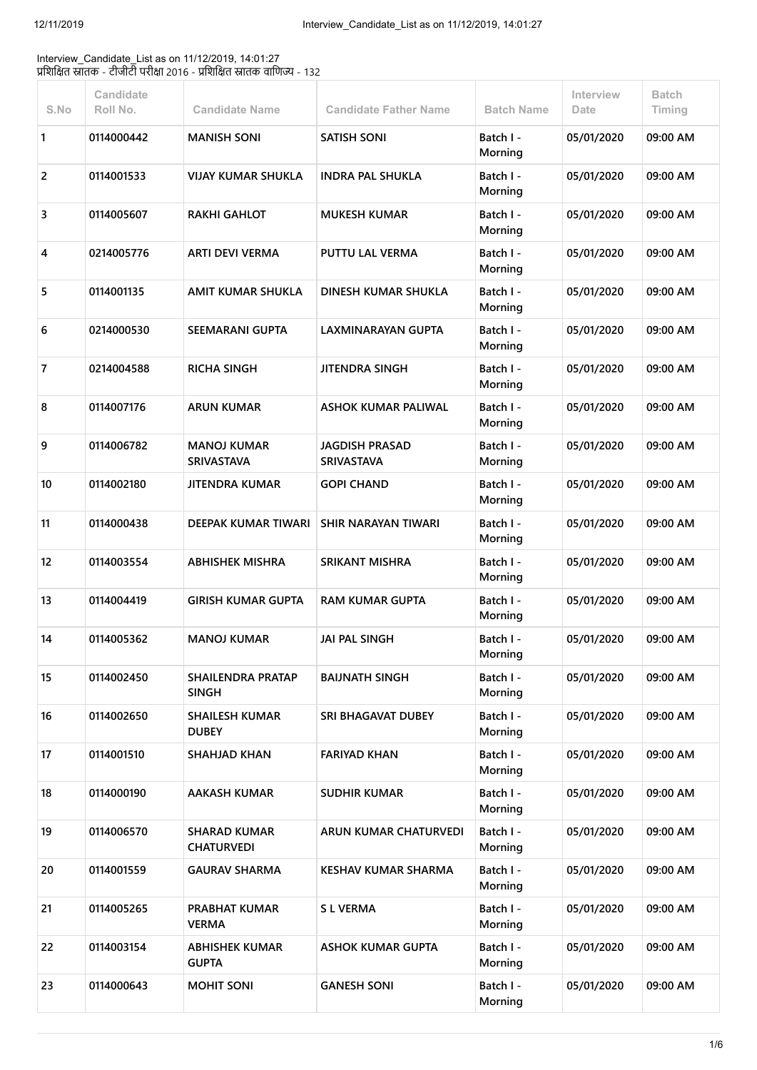Interview\_Candidate\_List as on 11/12/2019, 14:01:27 प्रशिक्षित स्नातक - टीजीटी परीक्षा 2016 - प्रशिक्षित स्नातक वाणिज्य - 132

| S.No | <b>Candidate</b><br>Roll No. | <b>Candidate Name</b>                    | <b>Candidate Father Name</b>        | <b>Batch Name</b>    | Interview<br>Date | <b>Batch</b><br>Timing |
|------|------------------------------|------------------------------------------|-------------------------------------|----------------------|-------------------|------------------------|
| 1    | 0114000442                   | <b>MANISH SONI</b>                       | <b>SATISH SONI</b>                  | Batch I -<br>Morning | 05/01/2020        | 09:00 AM               |
| 2    | 0114001533                   | <b>VIJAY KUMAR SHUKLA</b>                | <b>INDRA PAL SHUKLA</b>             | Batch I -<br>Morning | 05/01/2020        | 09:00 AM               |
| 3    | 0114005607                   | <b>RAKHI GAHLOT</b>                      | <b>MUKESH KUMAR</b>                 | Batch I -<br>Morning | 05/01/2020        | 09:00 AM               |
| 4    | 0214005776                   | <b>ARTI DEVI VERMA</b>                   | <b>PUTTU LAL VERMA</b>              | Batch I -<br>Morning | 05/01/2020        | 09:00 AM               |
| 5    | 0114001135                   | AMIT KUMAR SHUKLA                        | DINESH KUMAR SHUKLA                 | Batch I -<br>Morning | 05/01/2020        | 09:00 AM               |
| 6    | 0214000530                   | <b>SEEMARANI GUPTA</b>                   | LAXMINARAYAN GUPTA                  | Batch I -<br>Morning | 05/01/2020        | 09:00 AM               |
| 7    | 0214004588                   | <b>RICHA SINGH</b>                       | JITENDRA SINGH                      | Batch I -<br>Morning | 05/01/2020        | 09:00 AM               |
| 8    | 0114007176                   | ARUN KUMAR                               | ASHOK KUMAR PALIWAL                 | Batch I -<br>Morning | 05/01/2020        | 09:00 AM               |
| 9    | 0114006782                   | <b>MANOJ KUMAR</b><br><b>SRIVASTAVA</b>  | JAGDISH PRASAD<br><b>SRIVASTAVA</b> | Batch I -<br>Morning | 05/01/2020        | 09:00 AM               |
| 10   | 0114002180                   | <b>JITENDRA KUMAR</b>                    | <b>GOPI CHAND</b>                   | Batch I -<br>Morning | 05/01/2020        | 09:00 AM               |
| 11   | 0114000438                   | <b>DEEPAK KUMAR TIWARI</b>               | <b>SHIR NARAYAN TIWARI</b>          | Batch I -<br>Morning | 05/01/2020        | 09:00 AM               |
| 12   | 0114003554                   | <b>ABHISHEK MISHRA</b>                   | <b>SRIKANT MISHRA</b>               | Batch I -<br>Morning | 05/01/2020        | 09:00 AM               |
| 13   | 0114004419                   | <b>GIRISH KUMAR GUPTA</b>                | <b>RAM KUMAR GUPTA</b>              | Batch I -<br>Morning | 05/01/2020        | 09:00 AM               |
| 14   | 0114005362                   | <b>MANOJ KUMAR</b>                       | <b>JAI PAL SINGH</b>                | Batch I -<br>Morning | 05/01/2020        | 09:00 AM               |
| 15   | 0114002450                   | <b>SHAILENDRA PRATAP</b><br>SINGH        | <b>BAIJNATH SINGH</b>               | Batch I -<br>Morning | 05/01/2020        | 09:00 AM               |
| 16   | 0114002650                   | <b>SHAILESH KUMAR</b><br><b>DUBEY</b>    | SRI BHAGAVAT DUBEY                  | Batch I -<br>Morning | 05/01/2020        | 09:00 AM               |
| 17   | 0114001510                   | <b>SHAHJAD KHAN</b>                      | <b>FARIYAD KHAN</b>                 | Batch I -<br>Morning | 05/01/2020        | 09:00 AM               |
| 18   | 0114000190                   | <b>AAKASH KUMAR</b>                      | <b>SUDHIR KUMAR</b>                 | Batch I -<br>Morning | 05/01/2020        | 09:00 AM               |
| 19   | 0114006570                   | <b>SHARAD KUMAR</b><br><b>CHATURVEDI</b> | <b>ARUN KUMAR CHATURVEDI</b>        | Batch I -<br>Morning | 05/01/2020        | 09:00 AM               |
| 20   | 0114001559                   | <b>GAURAV SHARMA</b>                     | <b>KESHAV KUMAR SHARMA</b>          | Batch I -<br>Morning | 05/01/2020        | 09:00 AM               |
| 21   | 0114005265                   | <b>PRABHAT KUMAR</b><br><b>VERMA</b>     | <b>SL VERMA</b>                     | Batch I -<br>Morning | 05/01/2020        | 09:00 AM               |
| 22   | 0114003154                   | <b>ABHISHEK KUMAR</b><br><b>GUPTA</b>    | <b>ASHOK KUMAR GUPTA</b>            | Batch I -<br>Morning | 05/01/2020        | 09:00 AM               |
| 23   | 0114000643                   | <b>MOHIT SONI</b>                        | <b>GANESH SONI</b>                  | Batch I -<br>Morning | 05/01/2020        | 09:00 AM               |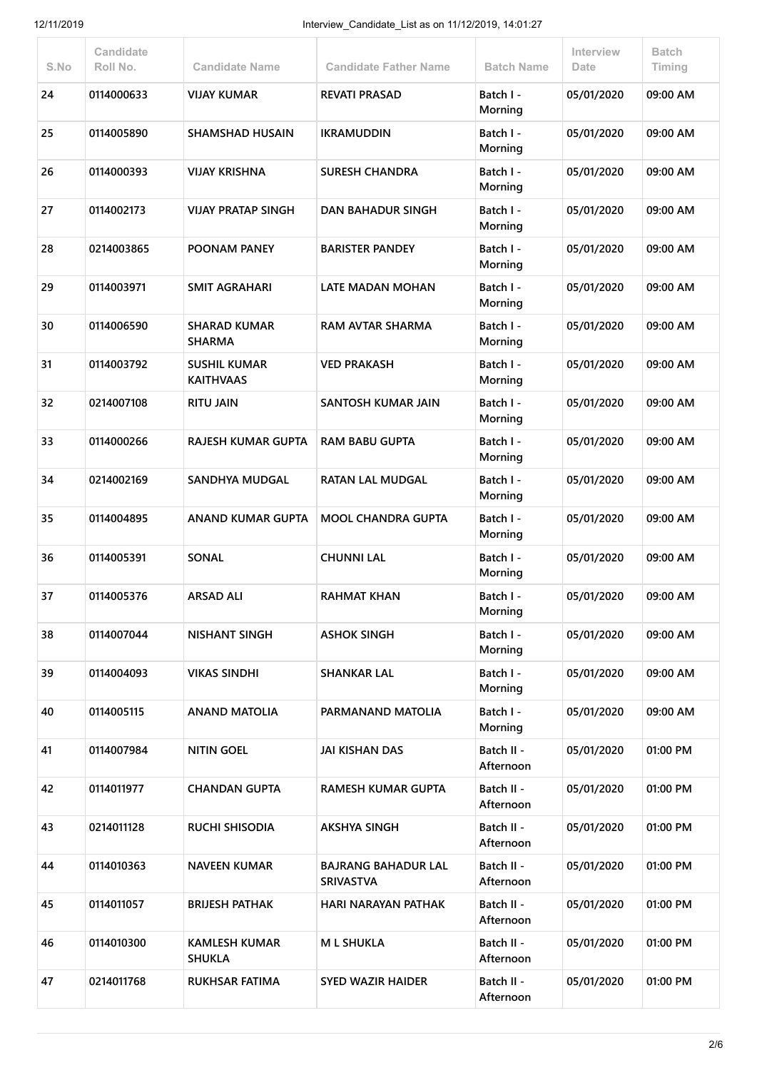| S.No | <b>Candidate</b><br>Roll No. | <b>Candidate Name</b>                   | <b>Candidate Father Name</b>                   | <b>Batch Name</b>       | Interview<br>Date | <b>Batch</b><br>Timing |
|------|------------------------------|-----------------------------------------|------------------------------------------------|-------------------------|-------------------|------------------------|
| 24   | 0114000633                   | <b>VIJAY KUMAR</b>                      | <b>REVATI PRASAD</b>                           | Batch I -<br>Morning    | 05/01/2020        | 09:00 AM               |
| 25   | 0114005890                   | <b>SHAMSHAD HUSAIN</b>                  | <b>IKRAMUDDIN</b>                              | Batch I -<br>Morning    | 05/01/2020        | 09:00 AM               |
| 26   | 0114000393                   | <b>VIJAY KRISHNA</b>                    | <b>SURESH CHANDRA</b>                          | Batch I -<br>Morning    | 05/01/2020        | 09:00 AM               |
| 27   | 0114002173                   | <b>VIJAY PRATAP SINGH</b>               | <b>DAN BAHADUR SINGH</b>                       | Batch I -<br>Morning    | 05/01/2020        | 09:00 AM               |
| 28   | 0214003865                   | POONAM PANEY                            | <b>BARISTER PANDEY</b>                         | Batch I -<br>Morning    | 05/01/2020        | 09:00 AM               |
| 29   | 0114003971                   | <b>SMIT AGRAHARI</b>                    | LATE MADAN MOHAN                               | Batch I -<br>Morning    | 05/01/2020        | 09:00 AM               |
| 30   | 0114006590                   | <b>SHARAD KUMAR</b><br><b>SHARMA</b>    | RAM AVTAR SHARMA                               | Batch I -<br>Morning    | 05/01/2020        | 09:00 AM               |
| 31   | 0114003792                   | <b>SUSHIL KUMAR</b><br><b>KAITHVAAS</b> | <b>VED PRAKASH</b>                             | Batch I -<br>Morning    | 05/01/2020        | 09:00 AM               |
| 32   | 0214007108                   | <b>RITU JAIN</b>                        | SANTOSH KUMAR JAIN                             | Batch I -<br>Morning    | 05/01/2020        | 09:00 AM               |
| 33   | 0114000266                   | RAJESH KUMAR GUPTA                      | <b>RAM BABU GUPTA</b>                          | Batch I -<br>Morning    | 05/01/2020        | 09:00 AM               |
| 34   | 0214002169                   | <b>SANDHYA MUDGAL</b>                   | <b>RATAN LAL MUDGAL</b>                        | Batch I -<br>Morning    | 05/01/2020        | 09:00 AM               |
| 35   | 0114004895                   | <b>ANAND KUMAR GUPTA</b>                | <b>MOOL CHANDRA GUPTA</b>                      | Batch I -<br>Morning    | 05/01/2020        | 09:00 AM               |
| 36   | 0114005391                   | SONAL                                   | <b>CHUNNI LAL</b>                              | Batch I -<br>Morning    | 05/01/2020        | 09:00 AM               |
| 37   | 0114005376                   | <b>ARSAD ALI</b>                        | <b>RAHMAT KHAN</b>                             | Batch I -<br>Morning    | 05/01/2020        | 09:00 AM               |
| 38   | 0114007044                   | <b>NISHANT SINGH</b>                    | <b>ASHOK SINGH</b>                             | Batch I -<br>Morning    | 05/01/2020        | 09:00 AM               |
| 39   | 0114004093                   | <b>VIKAS SINDHI</b>                     | <b>SHANKAR LAL</b>                             | Batch I -<br>Morning    | 05/01/2020        | 09:00 AM               |
| 40   | 0114005115                   | <b>ANAND MATOLIA</b>                    | PARMANAND MATOLIA                              | Batch I -<br>Morning    | 05/01/2020        | 09:00 AM               |
| 41   | 0114007984                   | <b>NITIN GOEL</b>                       | <b>JAI KISHAN DAS</b>                          | Batch II -<br>Afternoon | 05/01/2020        | 01:00 PM               |
| 42   | 0114011977                   | <b>CHANDAN GUPTA</b>                    | <b>RAMESH KUMAR GUPTA</b>                      | Batch II -<br>Afternoon | 05/01/2020        | 01:00 PM               |
| 43   | 0214011128                   | <b>RUCHI SHISODIA</b>                   | <b>AKSHYA SINGH</b>                            | Batch II -<br>Afternoon | 05/01/2020        | 01:00 PM               |
| 44   | 0114010363                   | <b>NAVEEN KUMAR</b>                     | <b>BAJRANG BAHADUR LAL</b><br><b>SRIVASTVA</b> | Batch II -<br>Afternoon | 05/01/2020        | 01:00 PM               |
| 45   | 0114011057                   | <b>BRIJESH PATHAK</b>                   | <b>HARI NARAYAN PATHAK</b>                     | Batch II -<br>Afternoon | 05/01/2020        | 01:00 PM               |
| 46   | 0114010300                   | KAMLESH KUMAR<br><b>SHUKLA</b>          | <b>ML SHUKLA</b>                               | Batch II -<br>Afternoon | 05/01/2020        | 01:00 PM               |
| 47   | 0214011768                   | RUKHSAR FATIMA                          | <b>SYED WAZIR HAIDER</b>                       | Batch II -<br>Afternoon | 05/01/2020        | 01:00 PM               |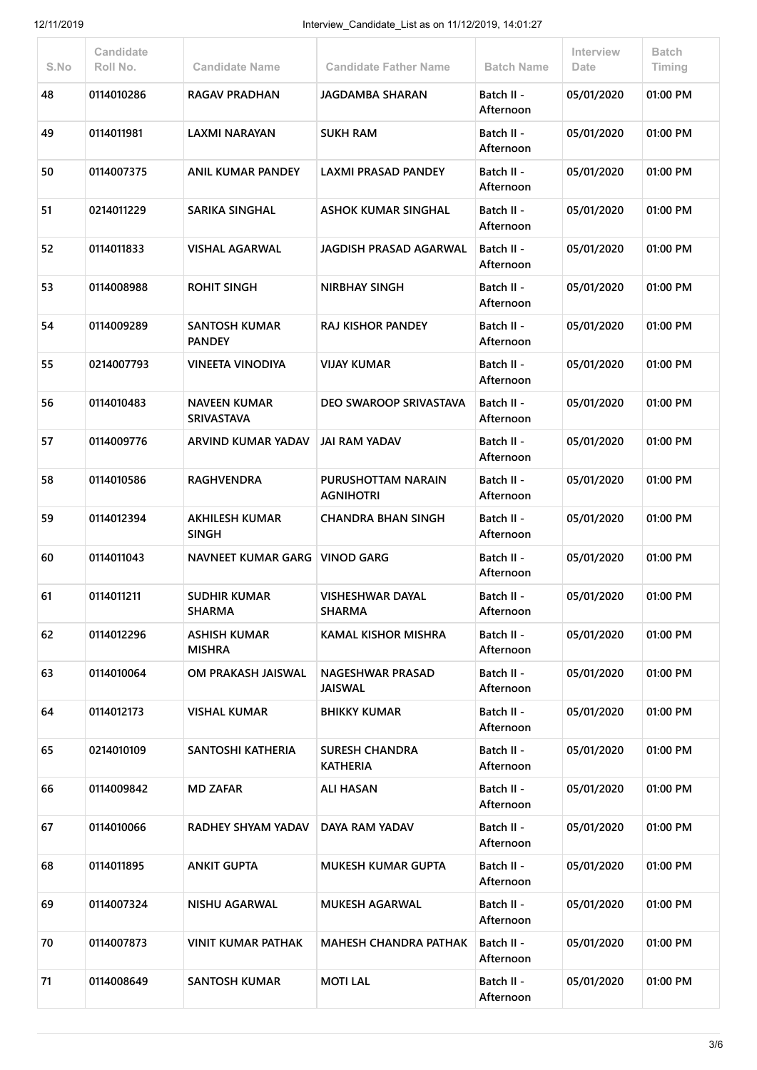| S.No | Candidate<br>Roll No. | <b>Candidate Name</b>                    | <b>Candidate Father Name</b>              | <b>Batch Name</b>       | Interview<br>Date | <b>Batch</b><br>Timing |
|------|-----------------------|------------------------------------------|-------------------------------------------|-------------------------|-------------------|------------------------|
| 48   | 0114010286            | <b>RAGAV PRADHAN</b>                     | <b>JAGDAMBA SHARAN</b>                    | Batch II -<br>Afternoon | 05/01/2020        | 01:00 PM               |
| 49   | 0114011981            | <b>LAXMI NARAYAN</b>                     | <b>SUKH RAM</b>                           | Batch II -<br>Afternoon | 05/01/2020        | 01:00 PM               |
| 50   | 0114007375            | <b>ANIL KUMAR PANDEY</b>                 | <b>LAXMI PRASAD PANDEY</b>                | Batch II -<br>Afternoon | 05/01/2020        | 01:00 PM               |
| 51   | 0214011229            | <b>SARIKA SINGHAL</b>                    | ASHOK KUMAR SINGHAL                       | Batch II -<br>Afternoon | 05/01/2020        | 01:00 PM               |
| 52   | 0114011833            | <b>VISHAL AGARWAL</b>                    | JAGDISH PRASAD AGARWAL                    | Batch II -<br>Afternoon | 05/01/2020        | 01:00 PM               |
| 53   | 0114008988            | <b>ROHIT SINGH</b>                       | <b>NIRBHAY SINGH</b>                      | Batch II -<br>Afternoon | 05/01/2020        | 01:00 PM               |
| 54   | 0114009289            | <b>SANTOSH KUMAR</b><br><b>PANDEY</b>    | <b>RAJ KISHOR PANDEY</b>                  | Batch II -<br>Afternoon | 05/01/2020        | 01:00 PM               |
| 55   | 0214007793            | <b>VINEETA VINODIYA</b>                  | <b>VIJAY KUMAR</b>                        | Batch II -<br>Afternoon | 05/01/2020        | 01:00 PM               |
| 56   | 0114010483            | <b>NAVEEN KUMAR</b><br><b>SRIVASTAVA</b> | DEO SWAROOP SRIVASTAVA                    | Batch II -<br>Afternoon | 05/01/2020        | 01:00 PM               |
| 57   | 0114009776            | ARVIND KUMAR YADAV                       | <b>JAI RAM YADAV</b>                      | Batch II -<br>Afternoon | 05/01/2020        | 01:00 PM               |
| 58   | 0114010586            | <b>RAGHVENDRA</b>                        | PURUSHOTTAM NARAIN<br><b>AGNIHOTRI</b>    | Batch II -<br>Afternoon | 05/01/2020        | 01:00 PM               |
| 59   | 0114012394            | <b>AKHILESH KUMAR</b><br><b>SINGH</b>    | <b>CHANDRA BHAN SINGH</b>                 | Batch II -<br>Afternoon | 05/01/2020        | 01:00 PM               |
| 60   | 0114011043            | <b>NAVNEET KUMAR GARG</b>                | <b>VINOD GARG</b>                         | Batch II -<br>Afternoon | 05/01/2020        | 01:00 PM               |
| 61   | 0114011211            | <b>SUDHIR KUMAR</b><br><b>SHARMA</b>     | <b>VISHESHWAR DAYAL</b><br><b>SHARMA</b>  | Batch II -<br>Afternoon | 05/01/2020        | 01:00 PM               |
| 62   | 0114012296            | <b>ASHISH KUMAR</b><br><b>MISHRA</b>     | <b>KAMAL KISHOR MISHRA</b>                | Batch II -<br>Afternoon | 05/01/2020        | 01:00 PM               |
| 63   | 0114010064            | OM PRAKASH JAISWAL                       | <b>NAGESHWAR PRASAD</b><br><b>JAISWAL</b> | Batch II -<br>Afternoon | 05/01/2020        | 01:00 PM               |
| 64   | 0114012173            | VISHAL KUMAR                             | <b>BHIKKY KUMAR</b>                       | Batch II -<br>Afternoon | 05/01/2020        | 01:00 PM               |
| 65   | 0214010109            | SANTOSHI KATHERIA                        | <b>SURESH CHANDRA</b><br><b>KATHERIA</b>  | Batch II -<br>Afternoon | 05/01/2020        | 01:00 PM               |
| 66   | 0114009842            | <b>MD ZAFAR</b>                          | <b>ALI HASAN</b>                          | Batch II -<br>Afternoon | 05/01/2020        | 01:00 PM               |
| 67   | 0114010066            | RADHEY SHYAM YADAV                       | DAYA RAM YADAV                            | Batch II -<br>Afternoon | 05/01/2020        | 01:00 PM               |
| 68   | 0114011895            | <b>ANKIT GUPTA</b>                       | <b>MUKESH KUMAR GUPTA</b>                 | Batch II -<br>Afternoon | 05/01/2020        | 01:00 PM               |
| 69   | 0114007324            | <b>NISHU AGARWAL</b>                     | <b>MUKESH AGARWAL</b>                     | Batch II -<br>Afternoon | 05/01/2020        | 01:00 PM               |
| 70   | 0114007873            | <b>VINIT KUMAR PATHAK</b>                | <b>MAHESH CHANDRA PATHAK</b>              | Batch II -<br>Afternoon | 05/01/2020        | 01:00 PM               |
| 71   | 0114008649            | <b>SANTOSH KUMAR</b>                     | <b>MOTI LAL</b>                           | Batch II -<br>Afternoon | 05/01/2020        | 01:00 PM               |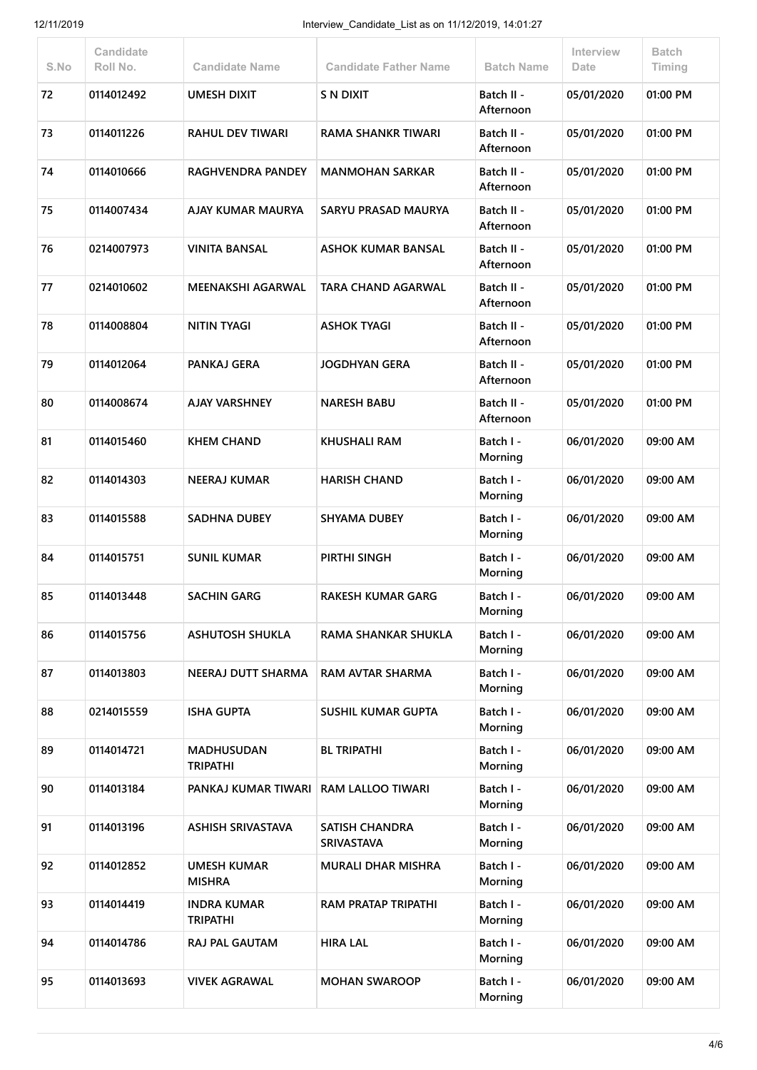| S.No | <b>Candidate</b><br>Roll No. | <b>Candidate Name</b>                 | <b>Candidate Father Name</b>               | <b>Batch Name</b>       | Interview<br>Date | <b>Batch</b><br>Timing |
|------|------------------------------|---------------------------------------|--------------------------------------------|-------------------------|-------------------|------------------------|
| 72   | 0114012492                   | <b>UMESH DIXIT</b>                    | <b>S N DIXIT</b>                           | Batch II -<br>Afternoon | 05/01/2020        | 01:00 PM               |
| 73   | 0114011226                   | <b>RAHUL DEV TIWARI</b>               | <b>RAMA SHANKR TIWARI</b>                  | Batch II -<br>Afternoon | 05/01/2020        | 01:00 PM               |
| 74   | 0114010666                   | <b>RAGHVENDRA PANDEY</b>              | <b>MANMOHAN SARKAR</b>                     | Batch II -<br>Afternoon | 05/01/2020        | 01:00 PM               |
| 75   | 0114007434                   | AJAY KUMAR MAURYA                     | <b>SARYU PRASAD MAURYA</b>                 | Batch II -<br>Afternoon | 05/01/2020        | 01:00 PM               |
| 76   | 0214007973                   | <b>VINITA BANSAL</b>                  | ASHOK KUMAR BANSAL                         | Batch II -<br>Afternoon | 05/01/2020        | 01:00 PM               |
| 77   | 0214010602                   | <b>MEENAKSHI AGARWAL</b>              | TARA CHAND AGARWAL                         | Batch II -<br>Afternoon | 05/01/2020        | 01:00 PM               |
| 78   | 0114008804                   | <b>NITIN TYAGI</b>                    | <b>ASHOK TYAGI</b>                         | Batch II -<br>Afternoon | 05/01/2020        | 01:00 PM               |
| 79   | 0114012064                   | PANKAJ GERA                           | <b>JOGDHYAN GERA</b>                       | Batch II -<br>Afternoon | 05/01/2020        | 01:00 PM               |
| 80   | 0114008674                   | <b>AJAY VARSHNEY</b>                  | <b>NARESH BABU</b>                         | Batch II -<br>Afternoon | 05/01/2020        | 01:00 PM               |
| 81   | 0114015460                   | <b>KHEM CHAND</b>                     | <b>KHUSHALI RAM</b>                        | Batch I -<br>Morning    | 06/01/2020        | 09:00 AM               |
| 82   | 0114014303                   | <b>NEERAJ KUMAR</b>                   | <b>HARISH CHAND</b>                        | Batch I -<br>Morning    | 06/01/2020        | 09:00 AM               |
| 83   | 0114015588                   | <b>SADHNA DUBEY</b>                   | <b>SHYAMA DUBEY</b>                        | Batch I -<br>Morning    | 06/01/2020        | 09:00 AM               |
| 84   | 0114015751                   | <b>SUNIL KUMAR</b>                    | PIRTHI SINGH                               | Batch I -<br>Morning    | 06/01/2020        | 09:00 AM               |
| 85   | 0114013448                   | <b>SACHIN GARG</b>                    | <b>RAKESH KUMAR GARG</b>                   | Batch I -<br>Morning    | 06/01/2020        | 09:00 AM               |
| 86   | 0114015756                   | <b>ASHUTOSH SHUKLA</b>                | <b>RAMA SHANKAR SHUKLA</b>                 | Batch I -<br>Morning    | 06/01/2020        | 09:00 AM               |
| 87   | 0114013803                   | NEERAJ DUTT SHARMA                    | <b>RAM AVTAR SHARMA</b>                    | Batch I -<br>Morning    | 06/01/2020        | 09:00 AM               |
| 88   | 0214015559                   | <b>ISHA GUPTA</b>                     | <b>SUSHIL KUMAR GUPTA</b>                  | Batch I -<br>Morning    | 06/01/2020        | 09:00 AM               |
| 89   | 0114014721                   | <b>MADHUSUDAN</b><br><b>TRIPATHI</b>  | <b>BL TRIPATHI</b>                         | Batch I -<br>Morning    | 06/01/2020        | 09:00 AM               |
| 90   | 0114013184                   | PANKAJ KUMAR TIWARI                   | <b>RAM LALLOO TIWARI</b>                   | Batch I -<br>Morning    | 06/01/2020        | 09:00 AM               |
| 91   | 0114013196                   | <b>ASHISH SRIVASTAVA</b>              | <b>SATISH CHANDRA</b><br><b>SRIVASTAVA</b> | Batch I -<br>Morning    | 06/01/2020        | 09:00 AM               |
| 92   | 0114012852                   | <b>UMESH KUMAR</b><br><b>MISHRA</b>   | <b>MURALI DHAR MISHRA</b>                  | Batch I -<br>Morning    | 06/01/2020        | 09:00 AM               |
| 93   | 0114014419                   | <b>INDRA KUMAR</b><br><b>TRIPATHI</b> | <b>RAM PRATAP TRIPATHI</b>                 | Batch I -<br>Morning    | 06/01/2020        | 09:00 AM               |
| 94   | 0114014786                   | <b>RAJ PAL GAUTAM</b>                 | <b>HIRA LAL</b>                            | Batch I -<br>Morning    | 06/01/2020        | 09:00 AM               |
| 95   | 0114013693                   | <b>VIVEK AGRAWAL</b>                  | <b>MOHAN SWAROOP</b>                       | Batch I -<br>Morning    | 06/01/2020        | 09:00 AM               |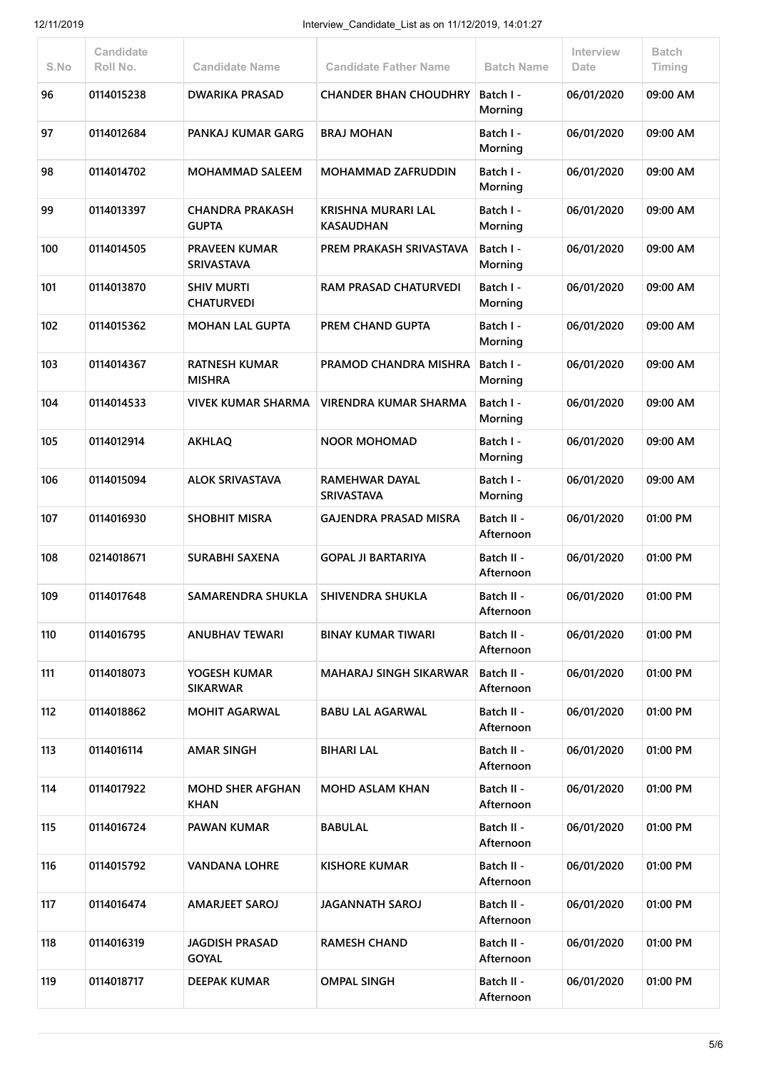| S.No | <b>Candidate</b><br>Roll No. | <b>Candidate Name</b>                     | <b>Candidate Father Name</b>               | <b>Batch Name</b>       | Interview<br>Date | Batch<br>Timing |
|------|------------------------------|-------------------------------------------|--------------------------------------------|-------------------------|-------------------|-----------------|
| 96   | 0114015238                   | <b>DWARIKA PRASAD</b>                     | <b>CHANDER BHAN CHOUDHRY</b>               | Batch I -<br>Morning    | 06/01/2020        | 09:00 AM        |
| 97   | 0114012684                   | PANKAJ KUMAR GARG                         | <b>BRAJ MOHAN</b>                          | Batch I -<br>Morning    | 06/01/2020        | 09:00 AM        |
| 98   | 0114014702                   | <b>MOHAMMAD SALEEM</b>                    | <b>MOHAMMAD ZAFRUDDIN</b>                  | Batch I -<br>Morning    | 06/01/2020        | 09:00 AM        |
| 99   | 0114013397                   | <b>CHANDRA PRAKASH</b><br><b>GUPTA</b>    | KRISHNA MURARI LAL<br><b>KASAUDHAN</b>     | Batch I -<br>Morning    | 06/01/2020        | 09:00 AM        |
| 100  | 0114014505                   | <b>PRAVEEN KUMAR</b><br><b>SRIVASTAVA</b> | PREM PRAKASH SRIVASTAVA                    | Batch I -<br>Morning    | 06/01/2020        | 09:00 AM        |
| 101  | 0114013870                   | <b>SHIV MURTI</b><br><b>CHATURVEDI</b>    | <b>RAM PRASAD CHATURVEDI</b>               | Batch I -<br>Morning    | 06/01/2020        | 09:00 AM        |
| 102  | 0114015362                   | <b>MOHAN LAL GUPTA</b>                    | <b>PREM CHAND GUPTA</b>                    | Batch I -<br>Morning    | 06/01/2020        | 09:00 AM        |
| 103  | 0114014367                   | <b>RATNESH KUMAR</b><br><b>MISHRA</b>     | PRAMOD CHANDRA MISHRA                      | Batch I -<br>Morning    | 06/01/2020        | 09:00 AM        |
| 104  | 0114014533                   | VIVEK KUMAR SHARMA                        | <b>VIRENDRA KUMAR SHARMA</b>               | Batch I -<br>Morning    | 06/01/2020        | 09:00 AM        |
| 105  | 0114012914                   | <b>AKHLAQ</b>                             | <b>NOOR MOHOMAD</b>                        | Batch I -<br>Morning    | 06/01/2020        | 09:00 AM        |
| 106  | 0114015094                   | <b>ALOK SRIVASTAVA</b>                    | <b>RAMEHWAR DAYAL</b><br><b>SRIVASTAVA</b> | Batch I -<br>Morning    | 06/01/2020        | 09:00 AM        |
| 107  | 0114016930                   | <b>SHOBHIT MISRA</b>                      | <b>GAJENDRA PRASAD MISRA</b>               | Batch II -<br>Afternoon | 06/01/2020        | 01:00 PM        |
| 108  | 0214018671                   | <b>SURABHI SAXENA</b>                     | <b>GOPAL JI BARTARIYA</b>                  | Batch II -<br>Afternoon | 06/01/2020        | 01:00 PM        |
| 109  | 0114017648                   | SAMARENDRA SHUKLA                         | SHIVENDRA SHUKLA                           | Batch II -<br>Afternoon | 06/01/2020        | 01:00 PM        |
| 110  | 0114016795                   | ANUBHAV TEWARI                            | BINAY KUMAR TIWARI                         | Batch II -<br>Afternoon | 06/01/2020        | 01:00 PM        |
| 111  | 0114018073                   | YOGESH KUMAR<br><b>SIKARWAR</b>           | <b>MAHARAJ SINGH SIKARWAR</b>              | Batch II -<br>Afternoon | 06/01/2020        | 01:00 PM        |
| 112  | 0114018862                   | <b>MOHIT AGARWAL</b>                      | <b>BABU LAL AGARWAL</b>                    | Batch II -<br>Afternoon | 06/01/2020        | 01:00 PM        |
| 113  | 0114016114                   | <b>AMAR SINGH</b>                         | <b>BIHARI LAL</b>                          | Batch II -<br>Afternoon | 06/01/2020        | 01:00 PM        |
| 114  | 0114017922                   | <b>MOHD SHER AFGHAN</b><br><b>KHAN</b>    | <b>MOHD ASLAM KHAN</b>                     | Batch II -<br>Afternoon | 06/01/2020        | 01:00 PM        |
| 115  | 0114016724                   | <b>PAWAN KUMAR</b>                        | <b>BABULAL</b>                             | Batch II -<br>Afternoon | 06/01/2020        | 01:00 PM        |
| 116  | 0114015792                   | <b>VANDANA LOHRE</b>                      | <b>KISHORE KUMAR</b>                       | Batch II -<br>Afternoon | 06/01/2020        | 01:00 PM        |
| 117  | 0114016474                   | <b>AMARJEET SAROJ</b>                     | <b>JAGANNATH SAROJ</b>                     | Batch II -<br>Afternoon | 06/01/2020        | 01:00 PM        |
| 118  | 0114016319                   | <b>JAGDISH PRASAD</b><br><b>GOYAL</b>     | <b>RAMESH CHAND</b>                        | Batch II -<br>Afternoon | 06/01/2020        | 01:00 PM        |
| 119  | 0114018717                   | DEEPAK KUMAR                              | <b>OMPAL SINGH</b>                         | Batch II -<br>Afternoon | 06/01/2020        | 01:00 PM        |